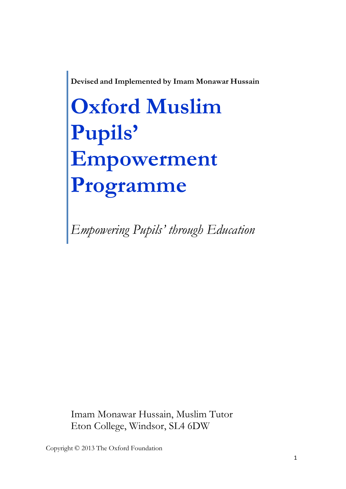**Devised and Implemented by Imam Monawar Hussain**

## **Oxford Muslim Pupils' Empowerment Programme**

*Empowering Pupils' through Education*

Imam Monawar Hussain, Muslim Tutor Eton College, Windsor, SL4 6DW

Copyright © 2013 The Oxford Foundation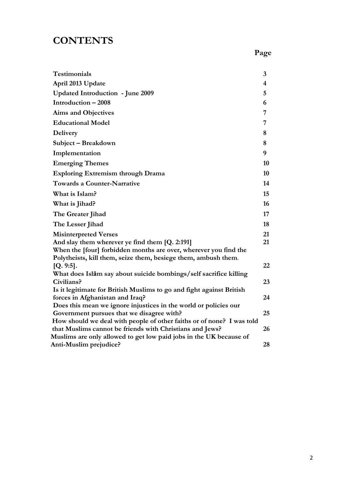## **CONTENTS**

| <b>Testimonials</b>                                                                                           | 3                       |
|---------------------------------------------------------------------------------------------------------------|-------------------------|
| April 2013 Update                                                                                             | $\overline{\mathbf{4}}$ |
| <b>Updated Introduction - June 2009</b>                                                                       | 5                       |
| Introduction - 2008                                                                                           | 6                       |
| <b>Aims and Objectives</b>                                                                                    | 7                       |
| <b>Educational Model</b>                                                                                      | 7                       |
| <b>Delivery</b>                                                                                               | 8                       |
| Subject - Breakdown                                                                                           | 8                       |
| Implementation                                                                                                | 9                       |
| <b>Emerging Themes</b>                                                                                        | 10                      |
| <b>Exploring Extremism through Drama</b>                                                                      | 10                      |
| <b>Towards a Counter-Narrative</b>                                                                            | 14                      |
| What is Islam?                                                                                                | 15                      |
| What is Jihad?                                                                                                | 16                      |
| The Greater Jihad                                                                                             | 17                      |
| The Lesser Jihad                                                                                              | 18                      |
| <b>Misinterpreted Verses</b>                                                                                  | 21                      |
| And slay them wherever ye find them [Q. 2:191]                                                                | 21                      |
| When the [four] forbidden months are over, wherever you find the                                              |                         |
| Polytheists, kill them, seize them, besiege them, ambush them.                                                |                         |
| $[Q. 9:5]$ .                                                                                                  | 22                      |
| What does Islam say about suicide bombings/self sacrifice killing                                             |                         |
| Civilians?                                                                                                    | 23                      |
| Is it legitimate for British Muslims to go and fight against British                                          |                         |
| forces in Afghanistan and Iraq?                                                                               | 24                      |
| Does this mean we ignore injustices in the world or policies our<br>Government pursues that we disagree with? | 25                      |
| How should we deal with people of other faiths or of none? I was told                                         |                         |
| that Muslims cannot be friends with Christians and Jews?                                                      | 26                      |
| Muslims are only allowed to get low paid jobs in the UK because of                                            |                         |
| Anti-Muslim prejudice?                                                                                        | 28                      |
|                                                                                                               |                         |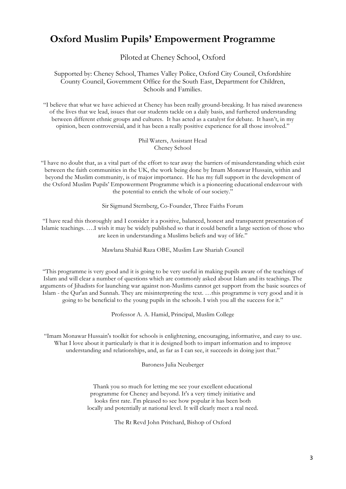### **Oxford Muslim Pupils' Empowerment Programme**

Piloted at Cheney School, Oxford

Supported by: Cheney School, Thames Valley Police, Oxford City Council, Oxfordshire County Council, Government Office for the South East, Department for Children, Schools and Families.

"I believe that what we have achieved at Cheney has been really ground-breaking. It has raised awareness of the lives that we lead, issues that our students tackle on a daily basis, and furthered understanding between different ethnic groups and cultures. It has acted as a catalyst for debate. It hasn't, in my opinion, been controversial, and it has been a really positive experience for all those involved."

> Phil Waters, Assistant Head Cheney School

"I have no doubt that, as a vital part of the effort to tear away the barriers of misunderstanding which exist between the faith communities in the UK, the work being done by Imam Monawar Hussain, within and beyond the Muslim community, is of major importance. He has my full support in the development of the Oxford Muslim Pupils' Empowerment Programme which is a pioneering educational endeavour with the potential to enrich the whole of our society."

Sir Sigmund Sternberg, Co-Founder, Three Faiths Forum

"I have read this thoroughly and I consider it a positive, balanced, honest and transparent presentation of Islamic teachings. ….I wish it may be widely published so that it could benefit a large section of those who are keen in understanding a Muslims beliefs and way of life."

Mawlana Shahid Raza OBE, Muslim Law Shariah Council

"This programme is very good and it is going to be very useful in making pupils aware of the teachings of Islam and will clear a number of questions which are commonly asked about Islam and its teachings. The arguments of Jihadists for launching war against non-Muslims cannot get support from the basic sources of Islam - the Qur'an and Sunnah. They are misinterpreting the text. …this programme is very good and it is going to be beneficial to the young pupils in the schools. I wish you all the success for it."

Professor A. A. Hamid, Principal, Muslim College

"Imam Monawar Hussain's toolkit for schools is enlightening, encouraging, informative, and easy to use. What I love about it particularly is that it is designed both to impart information and to improve understanding and relationships, and, as far as I can see, it succeeds in doing just that."

Baroness Julia Neuberger

Thank you so much for letting me see your excellent educational programme for Cheney and beyond. It's a very timely initiative and looks first rate. I'm pleased to see how popular it has been both locally and potentially at national level. It will clearly meet a real need.

The Rt Revd John Pritchard, Bishop of Oxford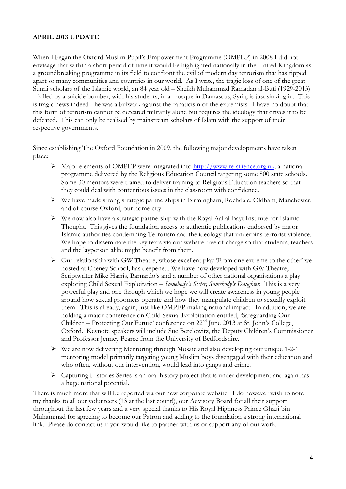#### **APRIL 2013 UPDATE**

When I began the Oxford Muslim Pupil's Empowerment Programme (OMPEP) in 2008 I did not envisage that within a short period of time it would be highlighted nationally in the United Kingdom as a groundbreaking programme in its field to confront the evil of modern day terrorism that has ripped apart so many communities and countries in our world. As I write, the tragic loss of one of the great Sunni scholars of the Islamic world, an 84 year old – Sheikh Muhammad Ramadan al-Buti (1929-2013) – killed by a suicide bomber, with his students, in a mosque in Damascus, Syria, is just sinking in. This is tragic news indeed - he was a bulwark against the fanaticism of the extremists. I have no doubt that this form of terrorism cannot be defeated militarily alone but requires the ideology that drives it to be defeated. This can only be realised by mainstream scholars of Islam with the support of their respective governments.

Since establishing The Oxford Foundation in 2009, the following major developments have taken place:

- Ø Major elements of OMPEP were integrated into http://www.re-silience.org.uk, a national programme delivered by the Religious Education Council targeting some 800 state schools. Some 30 mentors were trained to deliver training to Religious Education teachers so that they could deal with contentious issues in the classroom with confidence.
- Ø We have made strong strategic partnerships in Birmingham, Rochdale, Oldham, Manchester, and of course Oxford, our home city.
- $\triangleright$  We now also have a strategic partnership with the Royal Aal al-Bayt Institute for Islamic Thought. This gives the foundation access to authentic publications endorsed by major Islamic authorities condemning Terrorism and the ideology that underpins terrorist violence. We hope to disseminate the key texts via our website free of charge so that students, teachers and the layperson alike might benefit from them.
- Ø Our relationship with GW Theatre, whose excellent play 'From one extreme to the other' we hosted at Cheney School, has deepened. We have now developed with GW Theatre, Scriptwriter Mike Harris, Barnardo's and a number of other national organisations a play exploring Child Sexual Exploitation – *Somebody's Sister, Somebody's Daughter*. This is a very powerful play and one through which we hope we will create awareness in young people around how sexual groomers operate and how they manipulate children to sexually exploit them. This is already, again, just like OMPEP making national impact. In addition, we are holding a major conference on Child Sexual Exploitation entitled, 'Safeguarding Our Children – Protecting Our Future' conference on  $22<sup>nd</sup>$  June 2013 at St. John's College, Oxford. Keynote speakers will include Sue Berelowitz, the Deputy Children's Commissioner and Professor Jenney Pearce from the University of Bedfordshire.
- Ø We are now delivering Mentoring through Mosaic and also developing our unique 1-2-1 mentoring model primarily targeting young Muslim boys disengaged with their education and who often, without our intervention, would lead into gangs and crime.
- $\triangleright$  Capturing Histories Series is an oral history project that is under development and again has a huge national potential.

There is much more that will be reported via our new corporate website. I do however wish to note my thanks to all our volunteers (13 at the last count!), our Advisory Board for all their support throughout the last few years and a very special thanks to His Royal Highness Prince Ghazi bin Muhammad for agreeing to become our Patron and adding to the foundation a strong international link. Please do contact us if you would like to partner with us or support any of our work.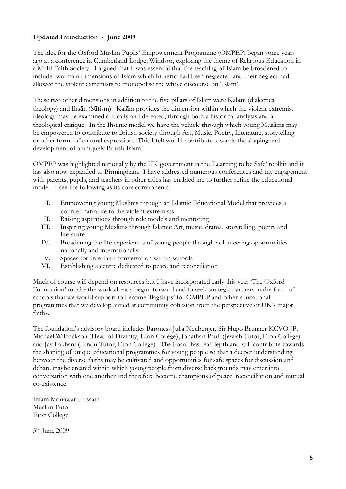#### **Updated Introduction - June 2009**

The idea for the Oxford Muslim Pupils' Empowerment Programme (OMPEP) began some years ago at a conference in Cumberland Lodge, Windsor, exploring the theme of Religious Education in a Multi-Faith Society. I argued that it was essential that the teaching of Islam be broadened to include two main dimensions of Islam which hitherto had been neglected and their neglect had allowed the violent extremists to monopolise the whole discourse on 'Islam'.

These two other dimensions in addition to the five pillars of Islam were Kalām (dialectical theology) and Ihsān (Sūfism). Kalām provides the dimension within which the violent extremist ideology may be examined critically and defeated, through both a historical analysis and a theological critique. In the Ihsānic model we have the vehicle through which young Muslims may be empowered to contribute to British society through Art, Music, Poetry, Literature, storytelling or other forms of cultural expression. This I felt would contribute towards the shaping and development of a uniquely British Islam.

OMPEP was highlighted nationally by the UK government in the 'Learning to be Safe' toolkit and it has also now expanded to Birmingham. I have addressed numerous conferences and my engagement with parents, pupils, and teachers in other cities has enabled me to further refine the educational model. I see the following as its core components:

- I. Empowering young Muslims through an Islamic Educational Model that provides a counter narrative to the violent extremists
- II. Raising aspirations through role models and mentoring
- III. Inspiring young Muslims through Islamic Art, music, drama, storytelling, poetry and literature
- IV. Broadening the life experiences of young people through volunteering opportunities nationally and internationally
- V. Spaces for Interfaith conversation within schools
- VI. Establishing a centre dedicated to peace and reconciliation

Much of course will depend on resources but I have incorporated early this year 'The Oxford Foundation' to take the work already begun forward and to seek strategic partners in the form of schools that we would support to become 'flagships' for OMPEP and other educational programmes that we develop aimed at community cohesion from the perspective of UK's major faiths.

The foundation's advisory board includes Baroness Julia Neuberger, Sir Hugo Brunner KCVO JP, Michael Wilcockson (Head of Divinity, Eton College), Jonathan Paull (Jewish Tutor, Eton College) and Jay Lakhani (Hindu Tutor, Eton College). The board has real depth and will contribute towards the shaping of unique educational programmes for young people so that a deeper understanding between the diverse faiths may be cultivated and opportunities for safe spaces for discussion and debate maybe created within which young people from diverse backgrounds may enter into conversation with one another and therefore become champions of peace, reconciliation and mutual co-existence.

Imam Monawar Hussain Muslim Tutor Eton College

3rd June 2009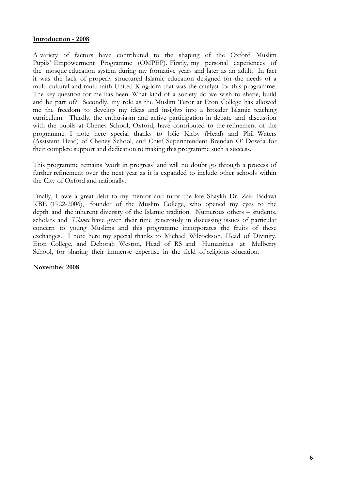#### **Introduction - 2008**

A variety of factors have contributed to the shaping of the Oxford Muslim Pupils' Empowerment Programme (OMPEP). Firstly, my personal experiences of the mosque education system during my formative years and later as an adult. In fact it was the lack of properly structured Islamic education designed for the needs of a multi-cultural and multi-faith United Kingdom that was the catalyst for this programme. The key question for me has been: What kind of a society do we wish to shape, build and be part of? Secondly, my role as the Muslim Tutor at Eton College has allowed me the freedom to develop my ideas and insights into a broader Islamic teaching curriculum. Thirdly, the enthusiasm and active participation in debate and discussion with the pupils at Cheney School, Oxford, have contributed to the refinement of the programme. I note here special thanks to Jolie Kirby (Head) and Phil Waters (Assistant Head) of Cheney School, and Chief Superintendent Brendan O' Dowda for their complete support and dedication to making this programme such a success.

This programme remains 'work in progress' and will no doubt go through a process of further refinement over the next year as it is expanded to include other schools within the City of Oxford and nationally.

Finally, I owe a great debt to my mentor and tutor the late Shaykh Dr. Zaki Badawi KBE (1922-2006), founder of the Muslim College, who opened my eyes to the depth and the inherent diversity of the Islamic tradition. Numerous others – students, scholars and *'Ulamā* have given their time generously in discussing issues of particular concern to young Muslims and this programme incorporates the fruits of these exchanges. I note here my special thanks to Michael Wilcockson, Head of Divinity, Eton College, and Deborah Weston, Head of RS and Humanities at Mulberry School, for sharing their immense expertise in the field of religious education.

**November 2008**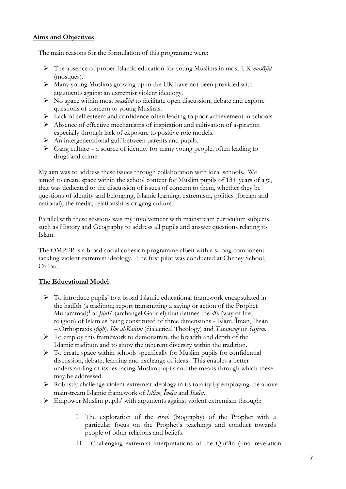#### **Aims and Objectives**

The main reasons for the formulation of this programme were:

- Ø The absence of proper Islamic education for young Muslims in most UK *masājid* (mosques).
- Ø Many young Muslims growing up in the UK have not been provided with arguments against an extremist violent ideology.
- Ø No space within most *masājid* to facilitate open discussion, debate and explore questions of concern to young Muslims.
- Ø Lack of self esteem and confidence often leading to poor achievement in schools.
- $\triangleright$  Absence of effective mechanisms of inspiration and cultivation of aspiration especially through lack of exposure to positive role models.
- $\triangleright$  An intergenerational gulf between parents and pupils.
- $\triangleright$  Gang culture a source of identity for many young people, often leading to drugs and crime.

My aim was to address these issues through collaboration with local schools. We aimed to create space within the school context for Muslim pupils of 13+ years of age, that was dedicated to the discussion of issues of concern to them, whether they be questions of identity and belonging, Islamic learning, extremism, politics (foreign and national), the media, relationships or gang culture.

Parallel with these sessions was my involvement with mainstream curriculum subjects, such as History and Geography to address all pupils and answer questions relating to Islam.

The OMPEP is a broad social cohesion programme albeit with a strong component tackling violent extremist ideology. The first pilot was conducted at Cheney School, Oxford.

#### **The Educational Model**

- Ø To introduce pupils' to a broad Islamic educational framework encapsulated in the hadīth (a tradition; report transmitting a saying or action of the Prophet Muhammad) 1 of *Jibrīl* (archangel Gabriel) that defines the *dīn* (way of life; religion) of Islam as being constituted of three dimensions - Islām, Īmān, Ihsān – Orthopraxis (*fiqh*), *Ilm al-Kalām* (dialectical Theology) and *Tasawwuf* or *Sūfism*.
- $\triangleright$  To employ this framework to demonstrate the breadth and depth of the Islamic tradition and to show the inherent diversity within the tradition.
- $\triangleright$  To create space within schools specifically for Muslim pupils for confidential discussion, debate, learning and exchange of ideas. This enables a better understanding of issues facing Muslim pupils and the means through which these may be addressed.
- Ø Robustly challenge violent extremist ideology in its totality by employing the above mainstream Islamic framework of *Islām, Īmān* and *Ihsān*.
- Ø Empower Muslim pupils' with arguments against violent extremism through:
	- I. The exploration of the *sīrah* (biography) of the Prophet with a particular focus on the Prophet's teachings and conduct towards people of other religions and beliefs.
	- II. Challenging extremist interpretations of the Qur'ān (final revelation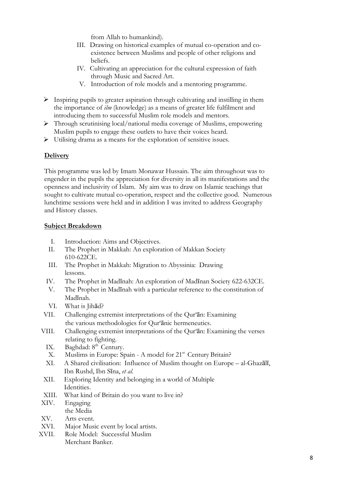from Allah to humankind).

- III. Drawing on historical examples of mutual co-operation and coexistence between Muslims and people of other religions and beliefs.
- IV. Cultivating an appreciation for the cultural expression of faith through Music and Sacred Art.
- V. Introduction of role models and a mentoring programme.
- $\triangleright$  Inspiring pupils to greater aspiration through cultivating and instilling in them the importance of *ilm* (knowledge) as a means of greater life fulfilment and introducing them to successful Muslim role models and mentors.
- Ø Through scrutinising local/national media coverage of Muslims, empowering Muslim pupils to engage these outlets to have their voices heard.
- $\triangleright$  Utilising drama as a means for the exploration of sensitive issues.

#### **Delivery**

This programme was led by Imam Monawar Hussain. The aim throughout was to engender in the pupils the appreciation for diversity in all its manifestations and the openness and inclusivity of Islam. My aim was to draw on Islamic teachings that sought to cultivate mutual co-operation, respect and the collective good. Numerous lunchtime sessions were held and in addition I was invited to address Geography and History classes.

#### **Subject Breakdown**

- I. Introduction: Aims and Objectives.
- II. The Prophet in Makkah: An exploration of Makkan Society 610-622CE.
- III. The Prophet in Makkah: Migration to Abyssinia: Drawing lessons.
- IV. The Prophet in Madīnah: An exploration of Madīnan Society 622-632CE.
- V. The Prophet in Madīnah with a particular reference to the constitution of Madīnah.
- VI. What is Jihād?
- VII. Challenging extremist interpretations of the Qur'ān: Examining the various methodologies for Qur'ānic hermeneutics.
- VIII. Challenging extremist interpretations of the Qur'ān: Examining the verses relating to fighting.
	- IX. Baghdad: 8<sup>th</sup> Century.
	- X. Muslims in Europe: Spain A model for 21<sup>st</sup> Century Britain?
	- XI. A Shared civilisation: Influence of Muslim thought on Europe al-Ghazālī, Ibn Rushd, Ibn Sīna, *et al.*
- XII. Exploring Identity and belonging in a world of Multiple Identities.
- XIII. What kind of Britain do you want to live in?
- XIV. Engaging the Media
- XV. Arts event.
- XVI. Major Music event by local artists.
- XVII. Role Model: Successful Muslim
	- Merchant Banker.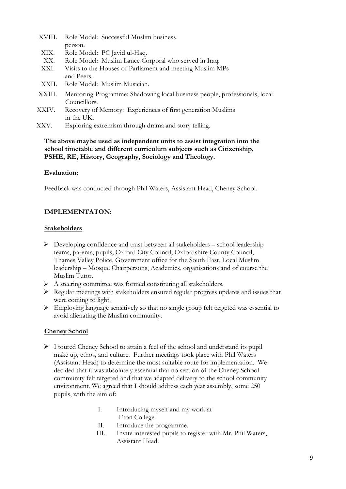- XVIII. Role Model: Successful Muslim business person.
- XIX. Role Model: PC Javid ul-Haq.
- XX. Role Model: Muslim Lance Corporal who served in Iraq.
- XXI. Visits to the Houses of Parliament and meeting Muslim MPs and Peers.
- XXII. Role Model: Muslim Musician.
- XXIII. Mentoring Programme: Shadowing local business people, professionals, local Councillors.
- XXIV. Recovery of Memory: Experiences of first generation Muslims in the UK.
- XXV. Exploring extremism through drama and story telling.

#### **The above maybe used as independent units to assist integration into the school timetable and different curriculum subjects such as Citizenship, PSHE, RE, History, Geography, Sociology and Theology.**

#### **Evaluation:**

Feedback was conducted through Phil Waters, Assistant Head, Cheney School.

#### **IMPLEMENTATON:**

#### **Stakeholders**

- $\triangleright$  Developing confidence and trust between all stakeholders school leadership teams, parents, pupils, Oxford City Council, Oxfordshire County Council, Thames Valley Police, Government office for the South East, Local Muslim leadership – Mosque Chairpersons, Academics, organisations and of course the Muslim Tutor.
- Ø A steering committee was formed constituting all stakeholders.
- $\triangleright$  Regular meetings with stakeholders ensured regular progress updates and issues that were coming to light.
- Ø Employing language sensitively so that no single group felt targeted was essential to avoid alienating the Muslim community.

#### **Cheney School**

- $\triangleright$  I toured Cheney School to attain a feel of the school and understand its pupil make up, ethos, and culture. Further meetings took place with Phil Waters (Assistant Head) to determine the most suitable route for implementation. We decided that it was absolutely essential that no section of the Cheney School community felt targeted and that we adapted delivery to the school community environment. We agreed that I should address each year assembly, some 250 pupils, with the aim of:
	- I. Introducing myself and my work at Eton College.
	- II. Introduce the programme.
	- III. Invite interested pupils to register with Mr. Phil Waters, Assistant Head.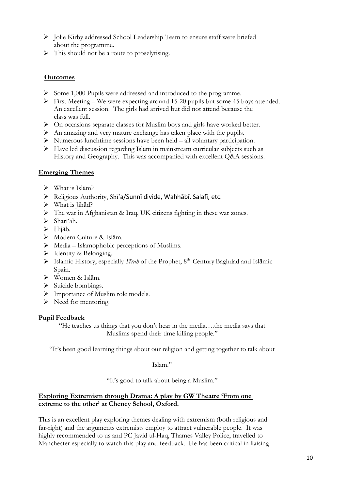- Ø Jolie Kirby addressed School Leadership Team to ensure staff were briefed about the programme.
- $\triangleright$  This should not be a route to proselytising.

#### **Outcomes**

- Ø Some 1,000 Pupils were addressed and introduced to the programme.
- $\triangleright$  First Meeting We were expecting around 15-20 pupils but some 45 boys attended. An excellent session. The girls had arrived but did not attend because the class was full.
- Ø On occasions separate classes for Muslim boys and girls have worked better.
- $\triangleright$  An amazing and very mature exchange has taken place with the pupils.
- $\triangleright$  Numerous lunchtime sessions have been held all voluntary participation.
- Ø Have led discussion regarding Islām in mainstream curricular subjects such as History and Geography. This was accompanied with excellent Q&A sessions.

#### **Emerging Themes**

- $\triangleright$  What is Islām?
- $\triangleright$  Religious Authority, Shī'a/Sunnī divide, Wahhābī, Salafī, etc.
- $\triangleright$  What is Jihād?
- Ø The war in Afghanistan & Iraq, UK citizens fighting in these war zones.
- $\triangleright$  Sharī'ah.
- $\triangleright$  Hijāb.
- Ø Modern Culture & Islām.
- $\triangleright$  Media Islamophobic perceptions of Muslims.
- $\triangleright$  Identity & Belonging.
- Ø Islamic History, especially *Sīrah* of the Prophet, 8th Century Baghdad and Islāmic Spain.
- Ø Women & Islām.
- $\triangleright$  Suicide bombings.
- $\triangleright$  Importance of Muslim role models.
- $\triangleright$  Need for mentoring.

#### **Pupil Feedback**

"He teaches us things that you don't hear in the media….the media says that Muslims spend their time killing people."

"It's been good learning things about our religion and getting together to talk about

Islam."

"It's good to talk about being a Muslim."

#### **Exploring Extremism through Drama: A play by GW Theatre 'From one extreme to the other' at Cheney School, Oxford.**

This is an excellent play exploring themes dealing with extremism (both religious and far-right) and the arguments extremists employ to attract vulnerable people. It was highly recommended to us and PC Javid ul-Haq, Thames Valley Police, travelled to Manchester especially to watch this play and feedback. He has been critical in liaising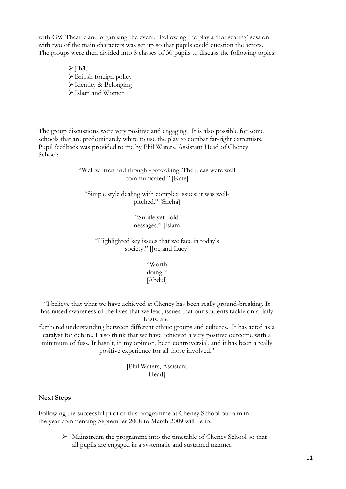with GW Theatre and organising the event. Following the play a 'hot seating' session with two of the main characters was set up so that pupils could question the actors. The groups were then divided into 8 classes of 30 pupils to discuss the following topics:

> Ø Jihād  $\triangleright$  British foreign policy Ø Identity & Belonging  $\triangleright$  Islām and Women

The group discussions were very positive and engaging. It is also possible for some schools that are predominately white to use the play to combat far-right extremists. Pupil feedback was provided to me by Phil Waters, Assistant Head of Cheney School:

> "Well written and thought-provoking. The ideas were well communicated." [Kate]

"Simple style dealing with complex issues; it was wellpitched." [Sneha]

> "Subtle yet bold messages." [Islam]

"Highlighted key issues that we face in today's society." [Joe and Lucy]

> "Worth doing." [Abdul]

"I believe that what we have achieved at Cheney has been really ground-breaking. It has raised awareness of the lives that we lead, issues that our students tackle on a daily basis, and

furthered understanding between different ethnic groups and cultures. It has acted as a catalyst for debate. I also think that we have achieved a very positive outcome with a minimum of fuss. It hasn't, in my opinion, been controversial, and it has been a really positive experience for all those involved."

> [Phil Waters, Assistant Head]

#### **Next Steps**

Following the successful pilot of this programme at Cheney School our aim in the year commencing September 2008 to March 2009 will be to:

> $\triangleright$  Mainstream the programme into the timetable of Cheney School so that all pupils are engaged in a systematic and sustained manner.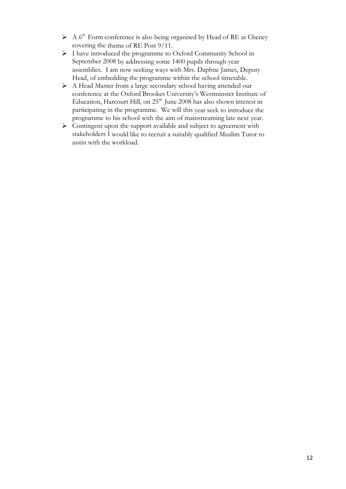- $\triangleright$  A 6<sup>th</sup> Form conference is also being organised by Head of RE at Cheney covering the theme of RE Post 9/11.
- Ø I have introduced the programme to Oxford Community School in September 2008 by addressing some 1400 pupils through year assemblies. I am now seeking ways with Mrs. Daphne James, Deputy Head, of embedding the programme within the school timetable.
- Ø A Head Master from a large secondary school having attended our conference at the Oxford Brookes University's Westminster Institute of Education, Harcourt Hill, on 25<sup>th</sup> June 2008 has also shown interest in participating in the programme. We will this year seek to introduce the programme to his school with the aim of mainstreaming late next year.
- $\triangleright$  Contingent upon the support available and subject to agreement with stakeholders I would like to recruit a suitably qualified Muslim Tutor to assist with the workload.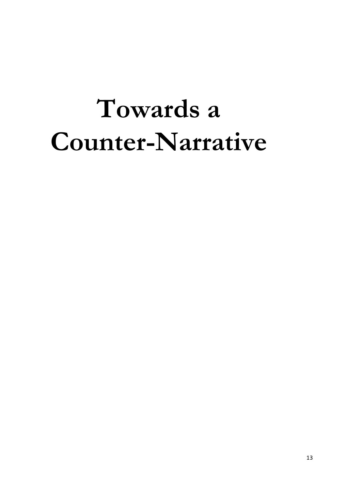# **Towards a Counter-Narrative**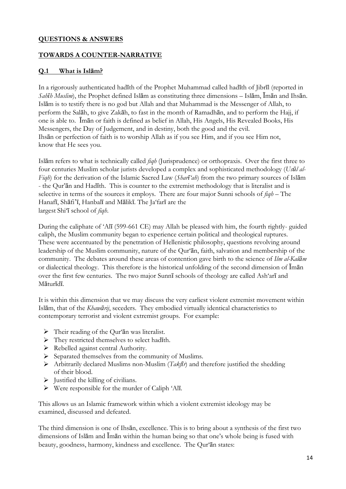#### **QUESTIONS & ANSWERS**

#### **TOWARDS A COUNTER-NARRATIVE**

#### **Q.1 What is Islām?**

In a rigorously authenticated hadīth of the Prophet Muhammad called hadīth of Jibrīl (reported in *Sahīh Muslim*), the Prophet defined Islām as constituting three dimensions – Islām, Īmān and Ihsān. Islām is to testify there is no god but Allah and that Muhammad is the Messenger of Allah, to perform the Salāh, to give Zakāh, to fast in the month of Ramadhān, and to perform the Hajj, if one is able to. Īmān or faith is defined as belief in Allah, His Angels, His Revealed Books, His Messengers, the Day of Judgement, and in destiny, both the good and the evil. Ihsān or perfection of faith is to worship Allah as if you see Him, and if you see Him not, know that He sees you.

Islām refers to what is technically called *fiqh* (Jurisprudence) or orthopraxis. Over the first three to four centuries Muslim scholar jurists developed a complex and sophisticated methodology (*Usūl al-Fiqh*) for the derivation of the Islamic Sacred Law (*Sharī'ah*) from the two primary sources of Islām - the Qur'ān and Hadīth. This is counter to the extremist methodology that is literalist and is selective in terms of the sources it employs. There are four major Sunni schools of *fiqh* – The Hanafī, Shāfi'ī, Hanbalī and Mālikī. The Ja'farī are the largest Shi'ī school of *fiqh*.

During the caliphate of 'Alī (599-661 CE) may Allah be pleased with him, the fourth rightly- guided caliph, the Muslim community began to experience certain political and theological ruptures. These were accentuated by the penetration of Hellenistic philosophy, questions revolving around leadership of the Muslim community, nature of the Qur'ān, faith, salvation and membership of the community. The debates around these areas of contention gave birth to the science of *Ilm al-Kalām*  or dialectical theology. This therefore is the historical unfolding of the second dimension of Īmān over the first few centuries. The two major Sunnī schools of theology are called Ash'arī and Māturīdī.

It is within this dimension that we may discuss the very earliest violent extremist movement within Islām, that of the *Khawārij*, seceders. They embodied virtually identical characteristics to contemporary terrorist and violent extremist groups. For example:

- $\triangleright$  Their reading of the Qur'an was literalist.
- Ø They restricted themselves to select hadīth.
- Ø Rebelled against central Authority.
- $\triangleright$  Separated themselves from the community of Muslims.
- Ø Arbitrarily declared Muslims non-Muslim (*Takfīr*) and therefore justified the shedding of their blood.
- $\triangleright$  Justified the killing of civilians.
- $\triangleright$  Were responsible for the murder of Caliph 'Alī.

This allows us an Islamic framework within which a violent extremist ideology may be examined, discussed and defeated.

The third dimension is one of Ihsān, excellence. This is to bring about a synthesis of the first two dimensions of Islām and Īmān within the human being so that one's whole being is fused with beauty, goodness, harmony, kindness and excellence. The Qur'ān states: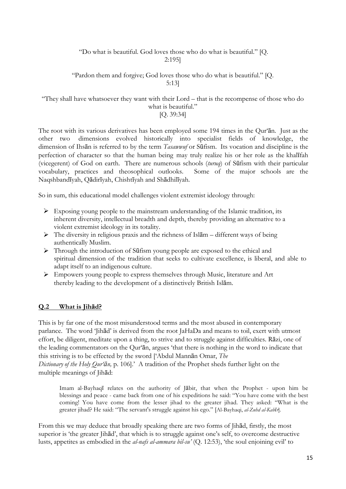#### "Do what is beautiful. God loves those who do what is beautiful." [Q. 2:195]

#### "Pardon them and forgive; God loves those who do what is beautiful." [Q. 5:13]

#### "They shall have whatsoever they want with their Lord – that is the recompense of those who do what is beautiful."

#### [Q. 39:34]

The root with its various derivatives has been employed some 194 times in the Qur'ān. Just as the other two dimensions evolved historically into specialist fields of knowledge, the dimension of Ihsān is referred to by the term *Tasawwuf* or Sūfism. Its vocation and discipline is the perfection of character so that the human being may truly realize his or her role as the khalīfah (vicegerent) of God on earth. There are numerous schools (*turuq*) of Sūfism with their particular vocabulary, practices and theosophical outlooks. Some of the major schools are the Naqshbandīyah, Qādirīyah, Chishtīyah and Shādhilīyah.

So in sum, this educational model challenges violent extremist ideology through:

- $\triangleright$  Exposing young people to the mainstream understanding of the Islamic tradition, its inherent diversity, intellectual breadth and depth, thereby providing an alternative to a violent extremist ideology in its totality.
- $\triangleright$  The diversity in religious praxis and the richness of Isl $\bar{a}$ m different ways of being authentically Muslim.
- Ø Through the introduction of Sūfism young people are exposed to the ethical and spiritual dimension of the tradition that seeks to cultivate excellence, is liberal, and able to adapt itself to an indigenous culture.
- Ø Empowers young people to express themselves through Music, literature and Art thereby leading to the development of a distinctively British Islām.

#### **Q.2 What is Jihād?**

This is by far one of the most misunderstood terms and the most abused in contemporary parlance. The word 'Jihād' is derived from the root JaHaDa and means to toil, exert with utmost effort, be diligent, meditate upon a thing, to strive and to struggle against difficulties. Rāzi, one of the leading commentators on the Qur'ān, argues 'that there is nothing in the word to indicate that this striving is to be effected by the sword ['Abdul Mannān Omar, *The*

*Dictionary of the Holy Qur'ān,* p. 106].' A tradition of the Prophet sheds further light on the multiple meanings of Jihād:

Imam al-Bayhaqī relates on the authority of Jābir, that when the Prophet - upon him be blessings and peace - came back from one of his expeditions he said: "You have come with the best coming! You have come from the lesser jihad to the greater jihad. They asked: "What is the greater jihad? He said: "The servant's struggle against his ego." [Al-Bayhaqi, *al-Zuhd al-Kabīr*].

From this we may deduce that broadly speaking there are two forms of Jihād, firstly, the most superior is 'the greater Jihād', that which is to struggle against one's self, to overcome destructive lusts, appetites as embodied in the *al-nafs al-ammara bil-su'* (Q. 12:53), 'the soul enjoining evil' to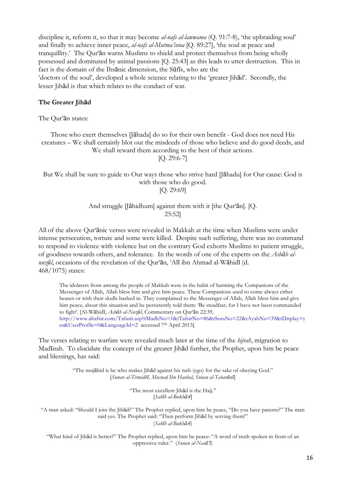discipline it, reform it, so that it may become *al-nafs al-lawwama* (Q. 91:7-8), 'the upbraiding soul' and finally to achieve inner peace, *al-nafs al-Mutma'inna* [Q. 89:27], 'the soul at peace and tranquillity.' The Qur'ān warns Muslims to shield and protect themselves from being wholly possessed and dominated by animal passions [Q. 25:43] as this leads to utter destruction. This in fact is the domain of the Ihsānic dimension, the Sūfīs, who are the 'doctors of the soul', developed a whole science relating to the 'greater Jihād'. Secondly, the lesser Jihād is that which relates to the conduct of war.

#### **The Greater Jihād**

The Qur'ān states:

Those who exert themselves [Jāhada] do so for their own benefit - God does not need His creatures – We shall certainly blot out the misdeeds of those who believe and do good deeds, and We shall reward them according to the best of their actions.

[Q. 29:6-7]

#### But We shall be sure to guide to Our ways those who strive hard [Jāhadu] for Our cause: God is with those who do good. [Q. 29:69]

#### And struggle [Jāhidhum] against them with it [the Qur'ān]. [Q. 25:52]

All of the above Qur'ānic verses were revealed in Makkah at the time when Muslims were under intense persecution, torture and some were killed. Despite such suffering, there was no command to respond to violence with violence but on the contrary God exhorts Muslims to patient struggle, of goodness towards others, and tolerance. In the words of one of the experts on the *Asbāb alnuzūl*, occasions of the revelation of the Qur'ān, 'Alī ibn Ahmad al-Wāhidī (d. 468/1075) states:

The idolaters from among the people of Makkah were in the habit of harming the Companions of the Messenger of Allah, Allah bless him and give him peace. These Companions used to come always either beaten or with their skulls bashed in. They complained to the Messenger of Allah, Allah bless him and give him peace, about this situation and he persistently told them: 'Be steadfast, for I have not been commanded to fight'. [Al-Wāhidī, *Asbāb al-Nuzūl*, Commentary on Qur'ān 22:39, http://www.altafsir.com/Tafasir.asp?tMadhNo=1&tTafsirNo=86&tSoraNo=22&tAyahNo=39&tDisplay=y es&UserProfile=0&LanguageId=2 accessed 7th April 2013].

The verses relating to warfare were revealed much later at the time of the *hijrah*, migration to Madīnah. To elucidate the concept of the greater Jihād further, the Prophet, upon him be peace and blessings, has said:

> "The mujāhid is he who makes Jihād against his nafs (ego) for the sake of obeying God." [*Sunan al-Tirmidhī, Musnad Ibn Hanbal, Sunan al-Tabarānī*]

> > "The most excellent Jihād is the Hajj." [*Sahīh al-Bukhārī*]

"A man asked: "Should I join the Jihād?" The Prophet replied, upon him be peace, "Do you have parents?" The man said yes. The Prophet said: "Then perform Jihād by serving them!" (*Sahīh al-Bukhārī*)

"What kind of Jihād is better?" The Prophet replied, upon him be peace: "A word of truth spoken in front of an oppressive ruler." (*Sunan al-Nasā'ī*)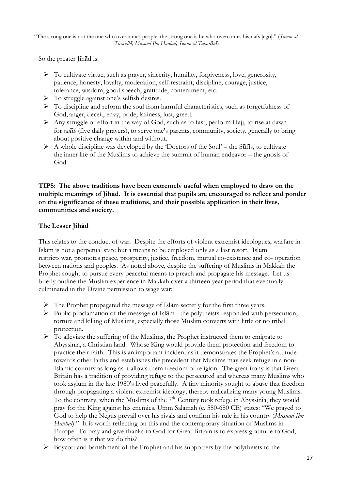"The strong one is not the one who overcomes people; the strong one is he who overcomes his nafs [ego]." (*Sunan al-Tirmidhī, Musnad Ibn Hanbal, Sunan al-Tabarānī*)

So the greater Jihād is:

- $\triangleright$  To cultivate virtue, such as prayer, sincerity, humility, forgiveness, love, generosity, patience, honesty, loyalty, moderation, self-restraint, discipline, courage, justice, tolerance, wisdom, good speech, gratitude, contentment, etc.
- Ø To struggle against one's selfish desires.
- $\triangleright$  To discipline and reform the soul from harmful characteristics, such as forgetfulness of God, anger, deceit, envy, pride, laziness, lust, greed.
- Ø Any struggle or effort in the way of God, such as to fast, perform Hajj, to rise at dawn for *salāh* (five daily prayers), to serve one's parents, community, society, generally to bring about positive change within and without.
- $\triangleright$  A whole discipline was developed by the 'Doctors of the Soul' the Suffis, to cultivate the inner life of the Muslims to achieve the summit of human endeavor – the gnosis of God.

#### **TIPS: The above traditions have been extremely useful when employed to draw on the multiple meanings of Jihād. It is essential that pupils are encouraged to reflect and ponder on the significance of these traditions, and their possible application in their lives, communities and society.**

#### **The Lesser Jihād**

This relates to the conduct of war. Despite the efforts of violent extremist ideologues, warfare in Islām is not a perpetual state but a means to be employed only as a last resort. Islām restricts war, promotes peace, prosperity, justice, freedom, mutual co-existence and co- operation between nations and peoples. As noted above, despite the suffering of Muslims in Makkah the Prophet sought to pursue every peaceful means to preach and propagate his message. Let us briefly outline the Muslim experience in Makkah over a thirteen year period that eventually culminated in the Divine permission to wage war:

- $\triangleright$  The Prophet propagated the message of Isl $\bar{a}$ m secretly for the first three years.
- $\triangleright$  Public proclamation of the message of Isl $\bar{a}$ m the polytheists responded with persecution, torture and killing of Muslims, especially those Muslim converts with little or no tribal protection.
- $\triangleright$  To alleviate the suffering of the Muslims, the Prophet instructed them to emigrate to Abyssinia, a Christian land. Whose King would provide them protection and freedom to practice their faith. This is an important incident as it demonstrates the Prophet's attitude towards other faiths and establishes the precedent that Muslims may seek refuge in a non-Islamic country as long as it allows them freedom of religion. The great irony is that Great Britain has a tradition of providing refuge to the persecuted and whereas many Muslims who took asylum in the late 1980's lived peacefully. A tiny minority sought to abuse that freedom through propagating a violent extremist ideology, thereby radicalizing many young Muslims. To the contrary, when the Muslims of the  $7<sup>th</sup>$  Century took refuge in Abyssinia, they would pray for the King against his enemies, Umm Salamah (c. 580-680 CE) states: "We prayed to God to help the Negus prevail over his rivals and confirm his rule in his country (*Musnad Ibn Hanbal*)." It is worth reflecting on this and the contemporary situation of Muslims in Europe. To pray and give thanks to God for Great Britain is to express gratitude to God, how often is it that we do this?
- Ø Boycott and banishment of the Prophet and his supporters by the polytheists to the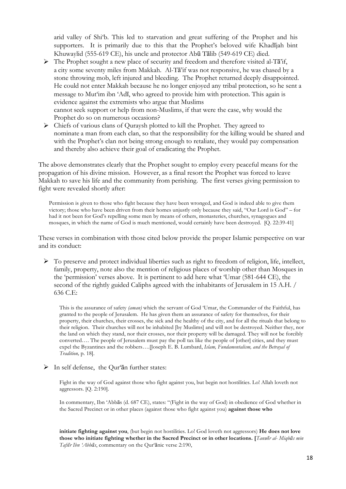arid valley of Shi'b. This led to starvation and great suffering of the Prophet and his supporters. It is primarily due to this that the Prophet's beloved wife Khadījah bint Khuwaylid (555-619 CE), his uncle and protector Abū Tālib (549-619 CE) died.

- Ø The Prophet sought a new place of security and freedom and therefore visited al-Tā'if, a city some seventy miles from Makkah. Al-Tā'if was not responsive, he was chased by a stone throwing mob, left injured and bleeding. The Prophet returned deeply disappointed. He could not enter Makkah because he no longer enjoyed any tribal protection, so he sent a message to Mut'im ibn 'Adī, who agreed to provide him with protection. This again is evidence against the extremists who argue that Muslims cannot seek support or help from non-Muslims, if that were the case, why would the Prophet do so on numerous occasions?
- $\triangleright$  Chiefs of various clans of Ouraysh plotted to kill the Prophet. They agreed to nominate a man from each clan, so that the responsibility for the killing would be shared and with the Prophet's clan not being strong enough to retaliate, they would pay compensation and thereby also achieve their goal of eradicating the Prophet.

The above demonstrates clearly that the Prophet sought to employ every peaceful means for the propagation of his divine mission. However, as a final resort the Prophet was forced to leave Makkah to save his life and the community from perishing. The first verses giving permission to fight were revealed shortly after:

Permission is given to those who fight because they have been wronged, and God is indeed able to give them victory; those who have been driven from their homes unjustly only because they said, "Our Lord is God" – for had it not been for God's repelling some men by means of others, monasteries, churches, synagogues and mosques, in which the name of God is much mentioned, would certainly have been destroyed. [Q. 22:39-41]

These verses in combination with those cited below provide the proper Islamic perspective on war and its conduct:

Ø To preserve and protect individual liberties such as right to freedom of religion, life, intellect, family, property, note also the mention of religious places of worship other than Mosques in the 'permission' verses above. It is pertinent to add here what 'Umar (581-644 CE), the second of the rightly guided Caliphs agreed with the inhabitants of Jerusalem in 15 A.H. / 636 C.E:

This is the assurance of safety *(aman)* which the servant of God 'Umar, the Commander of the Faithful, has granted to the people of Jerusalem. He has given them an assurance of safety for themselves, for their property, their churches, their crosses, the sick and the healthy of the city, and for all the rituals that belong to their religion. Their churches will not be inhabited [by Muslims] and will not be destroyed. Neither they, nor the land on which they stand, nor their crosses, nor their property will be damaged. They will not be forcibly converted…. The people of Jerusalem must pay the poll tax like the people of [other] cities, and they must expel the Byzantines and the robbers….[Joseph E. B. Lumbard, *Islam, Fundamentalism, and the Betrayal of Tradition,* p. 18].

 $\triangleright$  In self defense, the Qur'an further states:

Fight in the way of God against those who fight against you, but begin not hostilities. Lo! Allah loveth not aggressors. [Q. 2:190].

In commentary, Ibn 'Abbās (d. 687 CE), states: "(Fight in the way of God) in obedience of God whether in the Sacred Precinct or in other places (against those who fight against you) **against those who**

**initiate fighting against you**, (but begin not hostilities. Lo! God loveth not aggressors) **He does not love those who initiate fighting whether in the Sacred Precinct or in other locations. [***Tanwīr al- Miqbās min Tafsīr Ibn 'Abbās*, commentary on the Qur'ānic verse 2:190,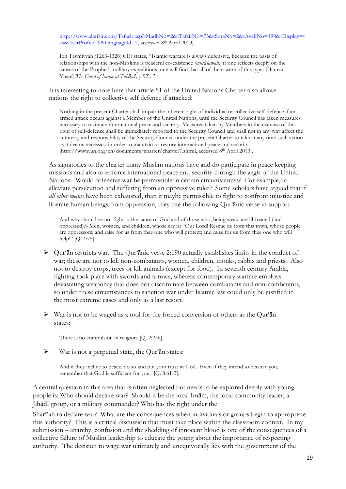http://www.altafsir.com/Tafasir.asp?tMadhNo=2&tTafsirNo=73&tSoraNo=2&tAyahNo=190&tDisplay=y es&UserProfile=0&LanguageId=2, accessed 8th April 2013].

Ibn Taymiyyah (1263-1328) CE) states, "Islamic warfare is always defensive, because the basis of relationships with the non-Muslims is peaceful co-existence *(musālamah)*; if one reflects deeply on the causes of the Prophet's military expeditions, one will find that all of them were of this type. [Hamza Yusuf, *The Creed of Imam al-Tahāwī,* p.92]. "

It is interesting to note here that article 51 of the United Nations Charter also allows nations the right to collective self defence if attacked:

Nothing in the present Charter shall impair the inherent right of individual or collective self-defence if an armed attack occurs against a Member of the United Nations, until the Security Council has taken measures necessary to maintain international peace and security. Measures taken by Members in the exercise of this right of self-defence shall be immediately reported to the Security Council and shall not in any way affect the authority and responsibility of the Security Council under the present Charter to take at any time such action as it deems necessary in order to maintain or restore international peace and security. [http://www.un.org/en/documents/charter/chapter7.shtml, accessed 8th April 2013].

As signatories to the charter many Muslim nations have and do participate in peace keeping missions and also to enforce international peace and security through the aegis of the United Nations. Would offensive war be permissible in certain circumstances? For example, to alleviate persecution and suffering from an oppressive ruler? Some scholars have argued that if *all other means* have been exhausted, than it maybe permissible to fight to confront injustice and liberate human beings from oppression, they cite the following Qur'ānic verse in support:

And why should ye not fight in the cause of God and of those who, being weak, are ill-treated (and oppressed)?- Men, women, and children, whose cry is: "Our Lord! Rescue us from this town, whose people are oppressors; and raise for us from thee one who will protect; and raise for us from thee one who will help!" [Q. 4:75].

- $\triangleright$  Qur'an restricts war. The Qur'anic verse 2:190 actually establishes limits in the conduct of war; these are not to kill non-combatants, women, children, monks, rabbis and priests. Also not to destroy crops, trees or kill animals (except for food). In seventh century Arabia, fighting took place with swords and arrows, whereas contemporary warfare employs devastating weaponry that does not discriminate between combatants and non-combatants, so under these circumstances to sanction war under Islamic law could only be justified in the most extreme cases and only as a last resort.
- $\triangleright$  War is not to be waged as a tool for the forced conversion of others as the Qur'an states:

There is no compulsion in religion. [Q. 2:256].

 $\triangleright$  War is not a perpetual state, the Qur'an states:

And if they incline to peace, do so and put your trust in God. Even if they intend to deceive you, remember that God is sufficient for you. [Q. 8:61-2].

A central question in this area that is often neglected but needs to be explored deeply with young people is: Who should declare war? Should it be the local Imām, the local community leader, a Jihādī group, or a military commander? Who has the right under the

Sharī'ah to declare war? What are the consequences when individuals or groups begin to appropriate this authority? This is a critical discussion that must take place within the classroom context. In my submission – anarchy, confusion and the shedding of innocent blood is one of the consequences of a collective failure of Muslim leadership to educate the young about the importance of respecting authority. The decision to wage war ultimately and unequivocally lies with the government of the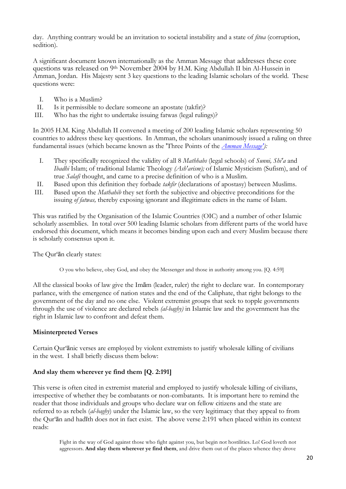day. Anything contrary would be an invitation to societal instability and a state of *fitna* (corruption, sedition)*.*

A significant document known internationally as the Amman Message that addresses these core questions was released on 9th November 2004 by H.M. King Abdullah II bin Al-Hussein in Amman, Jordan. His Majesty sent 3 key questions to the leading Islamic scholars of the world. These questions were:

- I. Who is a Muslim?
- II. Is it permissible to declare someone an apostate (takfir)?
- III. Who has the right to undertake issuing fatwas (legal rulings)?

In 2005 H.M. King Abdullah II convened a meeting of 200 leading Islamic scholars representing 50 countries to address these key questions. In Amman, the scholars unanimously issued a ruling on three fundamental issues (which became known as the 'Three Points of the *Amman Message'):*

- I. They specifically recognized the validity of all 8 *Mathhabs* (legal schools) of *Sunni, Shi'a* and *Ibadhi* Islam; of traditional Islamic Theology *(Ash'arism);* of Islamic Mysticism (Sufism), and of true *Salafi* thought, and came to a precise definition of who is a Muslim.
- II. Based upon this definition they forbade *takfir* (declarations of apostasy) between Muslims.
- III. Based upon the *Mathahib* they set forth the subjective and objective preconditions for the issuing *of fatwas,* thereby exposing ignorant and illegitimate edicts in the name of Islam.

This was ratified by the Organisation of the Islamic Countries (OIC) and a number of other Islamic scholarly assemblies. In total over 500 leading Islamic scholars from different parts of the world have endorsed this document, which means it becomes binding upon each and every Muslim because there is scholarly consensus upon it.

The Qur'ān clearly states:

O you who believe, obey God, and obey the Messenger and those in authority among you. [Q. 4:59]

All the classical books of law give the Imām (leader, ruler) the right to declare war. In contemporary parlance, with the emergence of nation states and the end of the Caliphate, that right belongs to the government of the day and no one else. Violent extremist groups that seek to topple governments through the use of violence are declared rebels *(al-baghy)* in Islamic law and the government has the right in Islamic law to confront and defeat them.

#### **Misinterpreted Verses**

Certain Qur'ānic verses are employed by violent extremists to justify wholesale killing of civilians in the west. I shall briefly discuss them below:

#### **And slay them wherever ye find them [Q. 2:191]**

This verse is often cited in extremist material and employed to justify wholesale killing of civilians, irrespective of whether they be combatants or non-combatants. It is important here to remind the reader that those individuals and groups who declare war on fellow citizens and the state are referred to as rebels (*al-baghy*) under the Islamic law, so the very legitimacy that they appeal to from the Qur'ān and hadīth does not in fact exist. The above verse 2:191 when placed within its context reads:

Fight in the way of God against those who fight against you, but begin not hostilities. Lo! God loveth not aggressors. **And slay them wherever ye find them**, and drive them out of the places whence they drove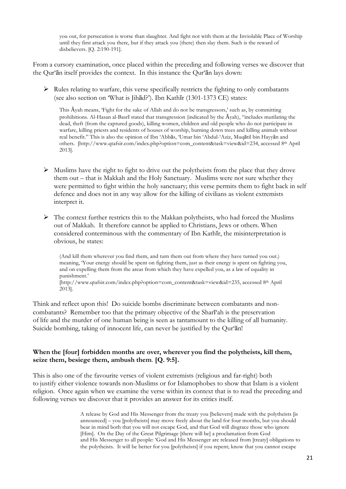you out, for persecution is worse than slaughter. And fight not with them at the Inviolable Place of Worship until they first attack you there, but if they attack you (there) then slay them. Such is the reward of disbelievers. [Q. 2:190-191].

From a cursory examination, once placed within the preceding and following verses we discover that the Qur'ān itself provides the context. In this instance the Qur'ān lays down:

 $\triangleright$  Rules relating to warfare, this verse specifically restricts the fighting to only combatants (see also section on 'What is Jihād?'). Ibn Kathīr (1301-1373 CE) states:

This Āyah means, 'Fight for the sake of Allah and do not be transgressors,' such as, by committing prohibitions. Al-Hasan al-Basrī stated that transgression (indicated by the  $\bar{A}$ yah), "includes mutilating the dead, theft (from the captured goods), killing women, children and old people who do not participate in warfare, killing priests and residents of houses of worship, burning down trees and killing animals without real benefit." This is also the opinion of Ibn 'Abbās, 'Umar bin 'Abdul-'Aziz, Muqātil bin Hayyān and others. [http://www.qtafsir.com/index.php?option=com\_content&task=view&id=234, accessed 8th April 2013].

- $\triangleright$  Muslims have the right to fight to drive out the polytheists from the place that they drove them out – that is Makkah and the Holy Sanctuary. Muslims were not sure whether they were permitted to fight within the holy sanctuary; this verse permits them to fight back in self defence and does not in any way allow for the killing of civilians as violent extremists interpret it.
- $\triangleright$  The context further restricts this to the Makkan polytheists, who had forced the Muslims out of Makkah. It therefore cannot be applied to Christians, Jews or others. When considered conterminous with the commentary of Ibn Kathīr, the misinterpretation is obvious, he states:

(And kill them wherever you find them, and turn them out from where they have turned you out.) meaning, 'Your energy should be spent on fighting them, just as their energy is spent on fighting you, and on expelling them from the areas from which they have expelled you, as a law of equality in punishment.' [http://www.qtafsir.com/index.php?option=com\_content&task=view&id=235, accessed 8th April 2013].

Think and reflect upon this! Do suicide bombs discriminate between combatants and noncombatants? Remember too that the primary objective of the Sharī'ah is the preservation of life and the murder of one human being is seen as tantamount to the killing of all humanity. Suicide bombing, taking of innocent life, can never be justified by the Qur'ān!

#### **When the [four] forbidden months are over, wherever you find the polytheists, kill them, seize them, besiege them, ambush them**. **[Q. 9:5].**

This is also one of the favourite verses of violent extremists (religious and far-right) both to justify either violence towards non-Muslims or for Islamophobes to show that Islam is a violent religion. Once again when we examine the verse within its context that is to read the preceding and following verses we discover that it provides an answer for its critics itself.

> A release by God and His Messenger from the treaty you [believers] made with the polytheists [is announced] – you [polytheists] may move freely about the land for four months, but you should bear in mind both that you will not escape God, and that God will disgrace those who ignore [Him]. On the Day of the Great Pilgrimage [there will be] a proclamation from God and His Messenger to all people: 'God and His Messenger are released from [treaty] obligations to the polytheists. It will be better for you [polytheists] if you repent; know that you cannot escape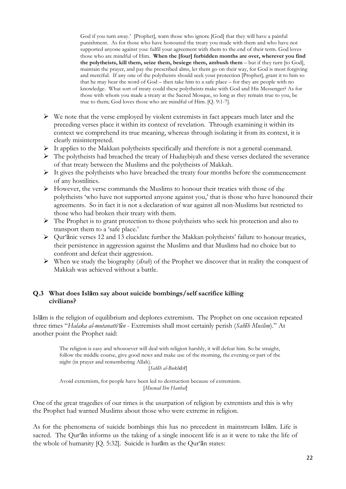God if you turn away.' [Prophet], warn those who ignore [God] that they will have a painful punishment. As for those who have honoured the treaty you made with them and who have not supported anyone against you: fulfil your agreement with them to the end of their term. God loves those who are mindful of Him. **When the [four] forbidden months are over, wherever you find the polytheists, kill them, seize them, besiege them, ambush them** – but if they turn [to God], maintain the prayer, and pay the prescribed alms, let them go on their way, for God is most forgiving and merciful. If any one of the polytheists should seek your protection [Prophet], grant it to him so that he may hear the word of God – then take him to a safe place – for they are people with no knowledge. What sort of treaty could these polytheists make with God and His Messenger? As for those with whom you made a treaty at the Sacred Mosque, so long as they remain true to you, be true to them; God loves those who are mindful of Him. [Q. 9:1-7].

- $\triangleright$  We note that the verse employed by violent extremists in fact appears much later and the preceding verses place it within its context of revelation. Through examining it within its context we comprehend its true meaning, whereas through isolating it from its context, it is clearly misinterpreted.
- $\triangleright$  It applies to the Makkan polytheists specifically and therefore is not a general command.
- $\triangleright$  The polytheists had breached the treaty of Hudaybiyah and these verses declared the severance of that treaty between the Muslims and the polytheists of Makkah.
- $\triangleright$  It gives the polytheists who have breached the treaty four months before the commencement of any hostilities.
- Ø However, the verse commands the Muslims to honour their treaties with those of the polytheists 'who have not supported anyone against you,' that is those who have honoured their agreements. So in fact it is not a declaration of war against all non-Muslims but restricted to those who had broken their treaty with them.
- $\triangleright$  The Prophet is to grant protection to those polytheists who seek his protection and also to transport them to a 'safe place.'
- Ø Qur'ānic verses 12 and 13 elucidate further the Makkan polytheists' failure to honour treaties, their persistence in aggression against the Muslims and that Muslims had no choice but to confront and defeat their aggression.
- Ø When we study the biography (*sīrah*) of the Prophet we discover that in reality the conquest of Makkah was achieved without a battle.

#### **Q.3 What does Islām say about suicide bombings/self sacrifice killing civilians?**

Islām is the religion of equilibrium and deplores extremism. The Prophet on one occasion repeated three times "*Halaka al-mutanatti'ūn* - Extremists shall most certainly perish (*Sahīh Muslim*)." At another point the Prophet said:

The religion is easy and whosoever will deal with religion harshly, it will defeat him. So be straight, follow the middle course, give good news and make use of the morning, the evening or part of the night (in prayer and remembering Allah).

[*Sahīh al-Bukhārī*]

Avoid extremism, for people have been led to destruction because of extremism. [*Musnad Ibn Hanbal*]

One of the great tragedies of our times is the usurpation of religion by extremists and this is why the Prophet had warned Muslims about those who were extreme in religion.

As for the phenomena of suicide bombings this has no precedent in mainstream Islām. Life is sacred. The Qur'ān informs us the taking of a single innocent life is as it were to take the life of the whole of humanity [Q. 5:32]. Suicide is harām as the Qur'ān states: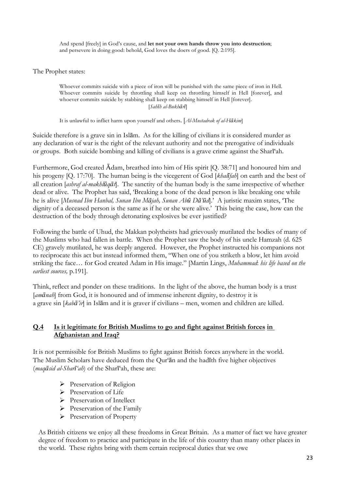And spend [freely] in God's cause, and **let not your own hands throw you into destruction**; and persevere in doing good: behold, God loves the doers of good. [Q. 2:195].

The Prophet states:

Whoever commits suicide with a piece of iron will be punished with the same piece of iron in Hell. Whoever commits suicide by throttling shall keep on throttling himself in Hell [forever], and whoever commits suicide by stabbing shall keep on stabbing himself in Hell [forever]. [*Sahīh al-Bukhārī*]

It is unlawful to inflict harm upon yourself and others. [*Al-Mustadrak of al-Hākim*]

Suicide therefore is a grave sin in Islām. As for the killing of civilians it is considered murder as any declaration of war is the right of the relevant authority and not the prerogative of individuals or groups. Both suicide bombing and killing of civilians is a grave crime against the Sharī'ah.

Furthermore, God created Ādam, breathed into him of His spirit [Q. 38:71] and honoured him and his progeny [Q. 17:70]. The human being is the vicegerent of God [*khalīfah*] on earth and the best of all creation [*ashraf al-makhlūqāt*]. The sanctity of the human body is the same irrespective of whether dead or alive. The Prophet has said, 'Breaking a bone of the dead person is like breaking one while he is alive [*Musnad Ibn Hanbal, Sunan Ibn Mājah, Sunan Abū Dā'ūd*].' A juristic maxim states, 'The dignity of a deceased person is the same as if he or she were alive.' This being the case, how can the destruction of the body through detonating explosives be ever justified?

Following the battle of Uhud, the Makkan polytheists had grievously mutilated the bodies of many of the Muslims who had fallen in battle. When the Prophet saw the body of his uncle Hamzah (d. 625 CE) gravely mutilated, he was deeply angered. However, the Prophet instructed his companions not to reciprocate this act but instead informed them, "When one of you striketh a blow, let him avoid striking the face… for God created Adam in His image." [Martin Lings, *Muhammad*: *his life based on the earliest sources,* p.191].

Think, reflect and ponder on these traditions. In the light of the above, the human body is a trust [*am* $\bar{a}$  *nah*] from God, it is honoured and of immense inherent dignity, to destroy it is a grave sin [*kabā'ir*] in Islām and it is graver if civilians – men, women and children are killed.

#### **Q.4 Is it legitimate for British Muslims to go and fight against British forces in Afghanistan and Iraq?**

It is not permissible for British Muslims to fight against British forces anywhere in the world. The Muslim Scholars have deduced from the Qur'ān and the hadīth five higher objectives (*maqāsid al-Sharī'ah*) of the Sharī'ah, these are:

- Ø Preservation of Religion
- $\triangleright$  Preservation of Life
- $\triangleright$  Preservation of Intellect
- $\triangleright$  Preservation of the Family
- Preservation of Property

As British citizens we enjoy all these freedoms in Great Britain. As a matter of fact we have greater degree of freedom to practice and participate in the life of this country than many other places in the world. These rights bring with them certain reciprocal duties that we owe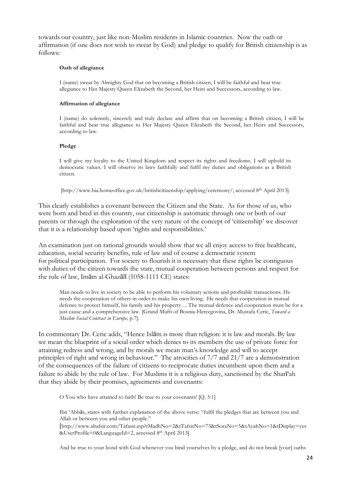towards our country, just like non-Muslim residents in Islamic countries. Now the oath or affirmation (if one does not wish to swear by God) and pledge to qualify for British citizenship is as follows:

#### **Oath of allegiance**

I (name) swear by Almighty God that on becoming a British citizen, I will be faithful and bear true allegiance to Her Majesty Queen Elizabeth the Second, her Heirs and Successors, according to law.

#### **Affirmation of allegiance**

I (name) do solemnly, sincerely and truly declare and affirm that on becoming a British citizen, I will be faithful and bear true allegiance to Her Majesty Queen Elizabeth the Second, her Heirs and Successors, according to law.

#### **Pledge**

I will give my loyalty to the United Kingdom and respect its rights and freedoms. I will uphold its democratic values. I will observe its laws faithfully and fulfil my duties and obligations as a British citizen.

[http://www.bia.homeoffice.gov.uk/britishcitizenship/applying/ceremony/, accessed 8th April 2013].

This clearly establishes a covenant between the Citizen and the State. As for those of us, who were born and bred in this country, our citizenship is automatic through one or both of our parents or through the exploration of the very nature of the concept of 'citizenship' we discover that it is a relationship based upon 'rights and responsibilities.'

An examination just on rational grounds would show that we all enjoy access to free healthcare, education, social security benefits, rule of law and of course a democratic system for political participation. For society to flourish it is necessary that these rights be contiguous with duties of the citizen towards the state, mutual cooperation between persons and respect for the rule of law, Imām al-Ghazālī (1058-1111 CE) states:

Man needs to live in society to be able to perform his voluntary actions and profitable transactions. He needs the cooperation of others in order to make his own living. He needs that cooperation in mutual defence to protect himself, his family and his property… The mutual defence and cooperation must be for a just cause and a comprehensive law. [Grand Mufti of Bosnia-Hercegovina, Dr. Mustafa Ceric, *Toward a Muslim Social Contract in Europe,* p.7].

In commentary Dr. Ceric adds, "Hence Islām is more than religion: it is law and morals. By law we mean the blueprint of a social order which denies to its members the use of private force for attaining redress and wrong, and by morals we mean man's knowledge and will to accept principles of right and wrong in behaviour." The atrocities of 7/7 and 21/7 are a demonstration of the consequences of the failure of citizens to reciprocate duties incumbent upon them and a failure to abide by the rule of law. For Muslims it is a religious duty, sanctioned by the Sharī'ah that they abide by their promises, agreements and covenants:

O You who have attained to faith! Be true to your covenants! [Q. 5:1]

Ibn 'Abbās, states with further explanation of the above verse: "fulfil the pledges that are between you and Allah or between you and other people."

[http://www.altafsir.com/Tafasir.asp?tMadhNo=2&tTafsirNo=73&tSoraNo=5&tAyahNo=1&tDisplay=yes &UserProfile=0&LanguageId=2, accessed 8th April 2013].

And be true to your bond with God whenever you bind yourselves by a pledge, and do not break [your] oaths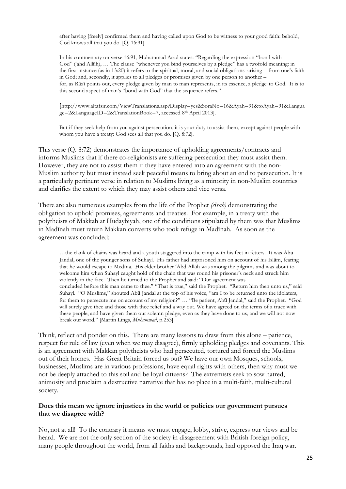after having [freely] confirmed them and having called upon God to be witness to your good faith: behold, God knows all that you do. [O. 16:91]

In his commentary on verse 16:91, Muhammad Asad states: "Regarding the expression "bond with God" ('ahd Allāh), … The clause "whenever you bind yourselves by a pledge" has a twofold meaning: in the first instance (as in 13:20) it refers to the spiritual, moral, and social obligations arising from one's faith in God; and, secondly, it applies to all pledges or promises given by one person to another – for, as Rāzī points out, every pledge given by man to man represents, in its essence, a pledge to God. It is to this second aspect of man's "bond with God" that the sequence refers."

[http://www.altafsir.com/ViewTranslations.asp?Display=yes&SoraNo=16&Ayah=91&toAyah=91&Langua ge=2&LanguageID=2&TranslationBook=7, accessed 8th April 2013].

But if they seek help from you against persecution, it is your duty to assist them, except against people with whom you have a treaty: God sees all that you do. [Q. 8:72].

This verse (Q. 8:72) demonstrates the importance of upholding agreements/contracts and informs Muslims that if there co-religionists are suffering persecution they must assist them. However, they are not to assist them if they have entered into an agreement with the non-Muslim authority but must instead seek peaceful means to bring about an end to persecution. It is a particularly pertinent verse in relation to Muslims living as a minority in non-Muslim countries and clarifies the extent to which they may assist others and vice versa.

There are also numerous examples from the life of the Prophet *(sīrah)* demonstrating the obligation to uphold promises, agreements and treaties. For example, in a treaty with the polytheists of Makkah at Hudaybiyah, one of the conditions stipulated by them was that Muslims in Madīnah must return Makkan converts who took refuge in Madīnah. As soon as the agreement was concluded:

…the clank of chains was heard and a youth staggered into the camp with his feet in fetters. It was Abū Jandal, one of the younger sons of Suhayl. His father had imprisoned him on account of his Islām, fearing that he would escape to Medīna. His elder brother 'Abd Allāh was among the pilgrims and was about to welcome him when Suhayl caught hold of the chain that was round his prisoner's neck and struck him violently in the face. Then he turned to the Prophet and said: "Our agreement was concluded before this man came to thee." "That is true," said the Prophet. "Return him then unto us," said Suhayl. "O Muslims," shouted Abū Jandal at the top of his voice, "am I to be returned unto the idolaters, for them to persecute me on account of my religion?" … "Be patient, Abū Jandal," said the Prophet. "God will surely give thee and those with thee relief and a way out. We have agreed on the terms of a truce with these people, and have given them our solemn pledge, even as they have done to us, and we will not now break our word." [Martin Lings, *Muhammad*, p.253].

Think, reflect and ponder on this. There are many lessons to draw from this alone – patience, respect for rule of law (even when we may disagree), firmly upholding pledges and covenants. This is an agreement with Makkan polytheists who had persecuted, tortured and forced the Muslims out of their homes. Has Great Britain forced us out? We have our own Mosques, schools, businesses, Muslims are in various professions, have equal rights with others, then why must we not be deeply attached to this soil and be loyal citizens? The extremists seek to sow hatred, animosity and proclaim a destructive narrative that has no place in a multi-faith, multi-cultural society.

#### **Does this mean we ignore injustices in the world or policies our government pursues that we disagree with?**

No, not at all! To the contrary it means we must engage, lobby, strive, express our views and be heard. We are not the only section of the society in disagreement with British foreign policy, many people throughout the world, from all faiths and backgrounds, had opposed the Iraq war.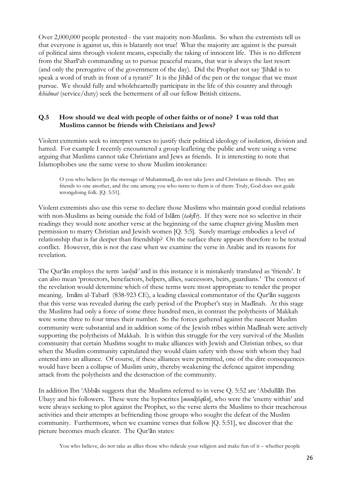Over 2,000,000 people protested - the vast majority non-Muslims. So when the extremists tell us that everyone is against us, this is blatantly not true! What the majority are against is the pursuit of political aims through violent means, especially the taking of innocent life. This is no different from the Sharī'ah commanding us to pursue peaceful means, that war is always the last resort (and only the prerogative of the government of the day). Did the Prophet not say 'Jihād is to speak a word of truth in front of a tyrant?' It is the Jihād of the pen or the tongue that we must pursue. We should fully and wholeheartedly participate in the life of this country and through *khidmat* (service/duty) seek the betterment of all our fellow British citizens.

#### **Q.5 How should we deal with people of other faiths or of none? I was told that Muslims cannot be friends with Christians and Jews?**

Violent extremists seek to interpret verses to justify their political ideology of isolation, division and hatred. For example I recently encountered a group leafleting the public and were using a verse arguing that Muslims cannot take Christians and Jews as friends. It is interesting to note that Islamophobes use the same verse to show Muslim intolerance:

O you who believe [in the message of Muhammad], do not take Jews and Christians as friends. They are friends to one another, and the one among you who turns to them is of them: Truly, God does not guide wrongdoing folk. [Q. 5:51].

Violent extremists also use this verse to declare those Muslims who maintain good cordial relations with non-Muslims as being outside the fold of Islām (*takfīr*). If they were not so selective in their readings they would note another verse at the beginning of the same chapter giving Muslim men permission to marry Christian and Jewish women [Q. 5:5]. Surely marriage embodies a level of relationship that is far deeper than friendship? On the surface there appears therefore to be textual conflict. However, this is not the case when we examine the verse in Arabic and its reasons for revelation.

The Qur'ān employs the term *'awliyā'* and in this instance it is mistakenly translated as 'friends'. It can also mean 'protectors, benefactors, helpers, allies, successors, heirs, guardians.' The context of the revelation would determine which of these terms were most appropriate to render the proper meaning. Imām al-Tabarī (838-923 CE), a leading classical commentator of the Qur'ān suggests that this verse was revealed during the early period of the Prophet's stay in Madīnah. At this stage the Muslims had only a force of some three hundred men, in contrast the polytheists of Makkah were some three to four times their number. So the forces gathered against the nascent Muslim community were substantial and in addition some of the Jewish tribes within Madīnah were actively supporting the polytheists of Makkah. It is within this struggle for the very survival of the Muslim community that certain Muslims sought to make alliances with Jewish and Christian tribes, so that when the Muslim community capitulated they would claim safety with those with whom they had entered into an alliance. Of course, if these alliances were permitted, one of the dire consequences would have been a collapse of Muslim unity, thereby weakening the defence against impending attack from the polytheists and the destruction of the community.

In addition Ibn 'Abbās suggests that the Muslims referred to in verse Q. 5:52 are 'Abdullāh Ibn Ubayy and his followers. These were the hypocrites [*munāfiqūn*], who were the 'enemy within' and were always seeking to plot against the Prophet, so the verse alerts the Muslims to their treacherous activities and their attempts at befriending those groups who sought the defeat of the Muslim community. Furthermore, when we examine verses that follow [Q. 5:51], we discover that the picture becomes much clearer. The Qur'ān states:

You who believe, do not take as allies those who ridicule your religion and make fun of it – whether people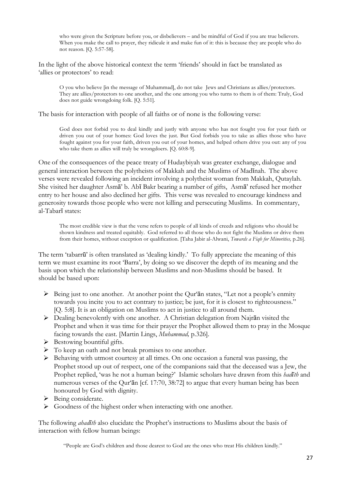who were given the Scripture before you, or disbelievers – and be mindful of God if you are true believers. When you make the call to prayer, they ridicule it and make fun of it: this is because they are people who do not reason. [Q. 5:57-58].

In the light of the above historical context the term 'friends' should in fact be translated as 'allies or protectors' to read:

O you who believe [in the message of Muhammad], do not take Jews and Christians as allies/protectors. They are allies/protectors to one another, and the one among you who turns to them is of them: Truly, God does not guide wrongdoing folk. [Q. 5:51].

The basis for interaction with people of all faiths or of none is the following verse:

God does not forbid you to deal kindly and justly with anyone who has not fought you for your faith or driven you out of your homes: God loves the just. But God forbids you to take as allies those who have fought against you for your faith, driven you out of your homes, and helped others drive you out: any of you who take them as allies will truly be wrongdoers. [Q. 60:8-9].

One of the consequences of the peace treaty of Hudaybiyah was greater exchange, dialogue and general interaction between the polytheists of Makkah and the Muslims of Madīnah. The above verses were revealed following an incident involving a polytheist woman from Makkah, Qutaylah. She visited her daughter Asmā' b. Abī Bakr bearing a number of gifts, Asmā' refused her mother entry to her house and also declined her gifts. This verse was revealed to encourage kindness and generosity towards those people who were not killing and persecuting Muslims. In commentary, al-Tabarī states:

The most credible view is that the verse refers to people of all kinds of creeds and religions who should be shown kindness and treated equitably. God referred to all those who do not fight the Muslims or drive them from their homes, without exception or qualification. [Taha Jabir al-Alwani, *Towards a Fiqh for Minorities,* p.26].

The term 'tabarrū' is often translated as 'dealing kindly.' To fully appreciate the meaning of this term we must examine its root 'Barra', by doing so we discover the depth of its meaning and the basis upon which the relationship between Muslims and non-Muslims should be based. It should be based upon:

- $\triangleright$  Being just to one another. At another point the Qur'an states, "Let not a people's enmity towards you incite you to act contrary to justice; be just, for it is closest to righteousness." [Q. 5:8]. It is an obligation on Muslims to act in justice to all around them.
- Ø Dealing benevolently with one another. A Christian delegation from Najrān visited the Prophet and when it was time for their prayer the Prophet allowed them to pray in the Mosque facing towards the east. [Martin Lings, *Muhammad,* p.326].
- $\triangleright$  Bestowing bountiful gifts.
- $\triangleright$  To keep an oath and not break promises to one another.
- Ø Behaving with utmost courtesy at all times. On one occasion a funeral was passing, the Prophet stood up out of respect, one of the companions said that the deceased was a Jew, the Prophet replied, 'was he not a human being?' Islamic scholars have drawn from this *hadīth* and numerous verses of the Qur'ān [cf. 17:70, 38:72] to argue that every human being has been honoured by God with dignity.
- Ø Being considerate.
- $\triangleright$  Goodness of the highest order when interacting with one another.

The following *ahadīth* also elucidate the Prophet's instructions to Muslims about the basis of interaction with fellow human beings:

"People are God's children and those dearest to God are the ones who treat His children kindly."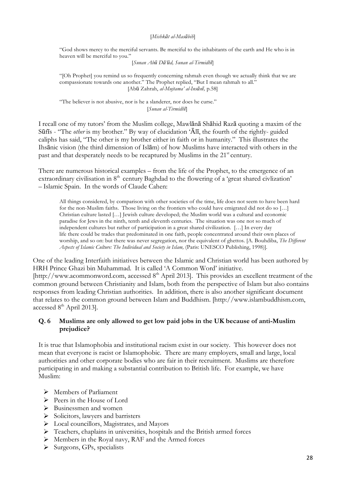#### [*Mishkāt al-Masābih*]

"God shows mercy to the merciful servants. Be merciful to the inhabitants of the earth and He who is in heaven will be merciful to you."

[*Sunan Abū Dā'ūd, Sunan al-Tirmidhī*]

"[Oh Prophet] you remind us so frequently concerning rahmah even though we actually think that we are compassionate towards one another." The Prophet replied, "But I mean rahmah to all." [Abū Zahrah, *al-Mujtama' al-Insānī,* p.58]

"The believer is not abusive, nor is he a slanderer, nor does he curse." [*Sunan al-Tirmidhī*]

I recall one of my tutors' from the Muslim college, Mawlānā Shāhid Razā quoting a maxim of the Sūfīs - "The *other* is my brother." By way of elucidation 'Ālī, the fourth of the rightly- guided caliphs has said, "The other is my brother either in faith or in humanity." This illustrates the Ihsānic vision (the third dimension of Islām) of how Muslims have interacted with others in the past and that desperately needs to be recaptured by Muslims in the 21<sup>st</sup> century.

There are numerous historical examples – from the life of the Prophet, to the emergence of an extraordinary civilisation in 8<sup>th</sup> century Baghdad to the flowering of a 'great shared civilization' – Islamic Spain. In the words of Claude Cahen:

All things considered, by comparison with other societies of the time, life does not seem to have been hard for the non-Muslim faiths. Those living on the frontiers who could have emigrated did not do so […] Christian culture lasted […] Jewish culture developed; the Muslim world was a cultural and economic paradise for Jews in the ninth, tenth and eleventh centuries. The situation was one not so much of independent cultures but rather of participation in a great shared civilization. […] In every day life there could be trades that predominated in one faith, people concentrated around their own places of worship, and so on: but there was never segregation, nor the equivalent of ghettos. [A. Bouhdiba, *The Different Aspects of Islamic Culture: The Individual and Society in Islam,* (Paris: UNESCO Publishing, 1998)].

One of the leading Interfaith initiatives between the Islamic and Christian world has been authored by HRH Prince Ghazi bin Muhammad. It is called 'A Common Word' initiative. [http://www.acommonword.com, accessed  $8<sup>th</sup>$  April 2013]. This provides an excellent treatment of the common ground between Christianity and Islam, both from the perspective of Islam but also contains responses from leading Christian authorities. In addition, there is also another significant document that relates to the common ground between Islam and Buddhism. [http://www.islambuddhism.com,

accessed 8<sup>th</sup> April 2013].

#### **Q. 6 Muslims are only allowed to get low paid jobs in the UK because of anti-Muslim prejudice?**

It is true that Islamophobia and institutional racism exist in our society. This however does not mean that everyone is racist or Islamophobic. There are many employers, small and large, local authorities and other corporate bodies who are fair in their recruitment. Muslims are therefore participating in and making a substantial contribution to British life. For example, we have Muslim:

- Ø Members of Parliament
- Ø Peers in the House of Lord
- $\triangleright$  Businessmen and women
- $\triangleright$  Solicitors, lawyers and barristers
- $\triangleright$  Local councillors, Magistrates, and Mayors
- Ø Teachers, chaplains in universities, hospitals and the British armed forces
- Ø Members in the Royal navy, RAF and the Armed forces
- Ø Surgeons, GPs, specialists